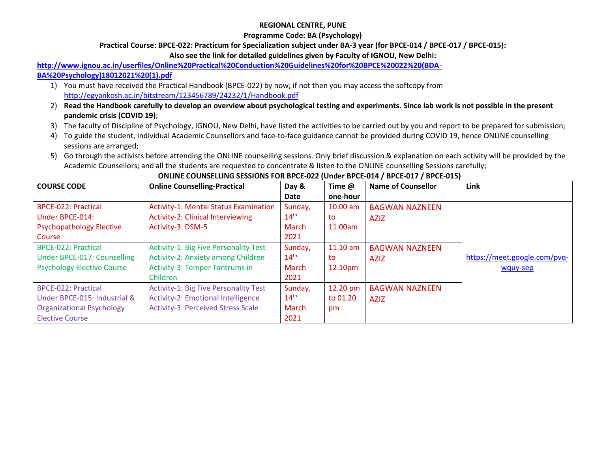### **REGIONAL CENTRE, PUNE**

### **Programme Code: BA (Psychology)**

### **Practical Course: BPCE-022: Practicum for Specialization subject under BA-3 year (for BPCE-014 / BPCE-017 / BPCE-015):**

**Also see the link for detailed guidelines given by Faculty of IGNOU, New Delhi:**

## **[http://www.ignou.ac.in/userfiles/Online%20Practical%20Conduction%20Guidelines%20for%20BPCE%20022%20\(BDA-](http://www.ignou.ac.in/userfiles/Online%20Practical%20Conduction%20Guidelines%20for%20BPCE%20022%20(BDA-BA%20Psychology)18012021%20(1).pdf)**

### **[BA%20Psychology\)18012021%20\(1\).pdf](http://www.ignou.ac.in/userfiles/Online%20Practical%20Conduction%20Guidelines%20for%20BPCE%20022%20(BDA-BA%20Psychology)18012021%20(1).pdf)**

- 1) You must have received the Practical Handbook (BPCE-022) by now; if not then you may access the softcopy from <http://egyankosh.ac.in/bitstream/123456789/24232/1/Handbook.pdf>
- 2) **Read the Handbook carefully to develop an overview about psychological testing and experiments. Since lab work is not possible in the present pandemic crisis (COVID 19)**;
- 3) The faculty of Discipline of Psychology, IGNOU, New Delhi, have listed the activities to be carried out by you and report to be prepared for submission;
- 4) To guide the student, individual Academic Counsellors and face-to-face guidance cannot be provided during COVID 19, hence ONLINE counselling sessions are arranged;
- 5) Go through the activists before attending the ONLINE counselling sessions. Only brief discussion & explanation on each activity will be provided by the Academic Counsellors; and all the students are requested to concentrate & listen to the ONLINE counselling Sessions carefully;

| <b>COURSE CODE</b>                | <b>Online Counselling-Practical</b>          | Day &            | Time @     | <b>Name of Counsellor</b> | Link                         |
|-----------------------------------|----------------------------------------------|------------------|------------|---------------------------|------------------------------|
|                                   |                                              | Date             | one-hour   |                           |                              |
| <b>BPCE-022: Practical</b>        | <b>Activity-1: Mental Status Examination</b> | Sunday,          | $10.00$ am | <b>BAGWAN NAZNEEN</b>     |                              |
| Under BPCE-014:                   | <b>Activity-2: Clinical Interviewing</b>     | $14^{\text{th}}$ | to         | <b>AZIZ</b>               |                              |
| <b>Psychopathology Elective</b>   | Activity-3: DSM-5                            | March            | 11.00am    |                           |                              |
| Course                            |                                              | 2021             |            |                           |                              |
| <b>BPCE-022: Practical</b>        | <b>Activity-1: Big Five Personality Test</b> | Sunday,          | $11.10$ am | <b>BAGWAN NAZNEEN</b>     |                              |
| Under BPCE-017: Counselling       | Activity-2: Anxiety among Children           | $14^{\text{th}}$ | to         | <b>AZIZ</b>               | https://meet.google.com/pvq- |
| <b>Psychology Elective Course</b> | <b>Activity-3: Temper Tantrums in</b>        | March            | 12.10pm    |                           | wquy-sep                     |
|                                   | Children                                     | 2021             |            |                           |                              |
| <b>BPCE-022: Practical</b>        | <b>Activity-1: Big Five Personality Test</b> | Sunday,          | 12.20 pm   | <b>BAGWAN NAZNEEN</b>     |                              |
| Under BPCE-015: Industrial &      | <b>Activity-2: Emotional Intelligence</b>    | $14^{\text{th}}$ | to 01.20   | <b>AZIZ</b>               |                              |
| <b>Organizational Psychology</b>  | <b>Activity-3: Perceived Stress Scale</b>    | March            | pm         |                           |                              |
| <b>Elective Course</b>            |                                              | 2021             |            |                           |                              |

#### **ONLINE COUNSELLING SESSIONS FOR BPCE-022 (Under BPCE-014 / BPCE-017 / BPCE-015)**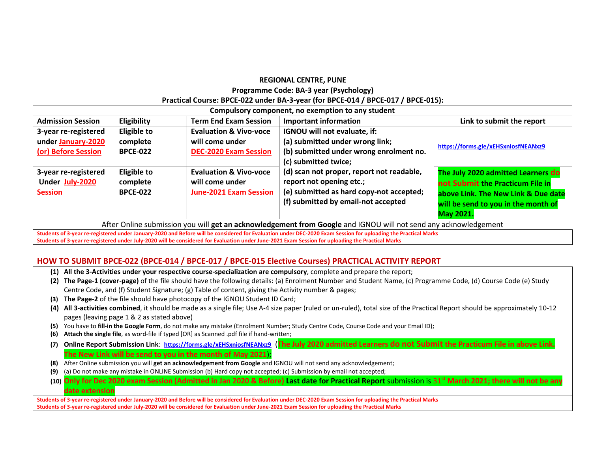#### **REGIONAL CENTRE, PUNE Programme Code: BA-3 year (Psychology) Practical Course: BPCE-022 under BA-3-year (for BPCE-014 / BPCE-017 / BPCE-015):**

| Compulsory component, no exemption to any student                                                                                                              |                    |                                   |                                           |                                     |
|----------------------------------------------------------------------------------------------------------------------------------------------------------------|--------------------|-----------------------------------|-------------------------------------------|-------------------------------------|
| <b>Admission Session</b>                                                                                                                                       | Eligibility        | <b>Term End Exam Session</b>      | <b>Important information</b>              | Link to submit the report           |
| 3-year re-registered                                                                                                                                           | <b>Eligible to</b> | <b>Evaluation &amp; Vivo-voce</b> | IGNOU will not evaluate, if:              |                                     |
| under January-2020                                                                                                                                             | complete           | will come under                   | (a) submitted under wrong link;           | https://forms.gle/xEHSxniosfNEANxz9 |
| (or) Before Session                                                                                                                                            | <b>BPCE-022</b>    | <b>DEC-2020 Exam Session</b>      | (b) submitted under wrong enrolment no.   |                                     |
|                                                                                                                                                                |                    |                                   | (c) submitted twice;                      |                                     |
| 3-year re-registered                                                                                                                                           | <b>Eligible to</b> | <b>Evaluation &amp; Vivo-voce</b> | (d) scan not proper, report not readable, | The July 2020 admitted Learners do  |
| Under July-2020                                                                                                                                                | complete           | will come under                   | report not opening etc.;                  | not Submit the Practicum File in    |
| <b>Session</b>                                                                                                                                                 | <b>BPCE-022</b>    | <b>June-2021 Exam Session</b>     | (e) submitted as hard copy-not accepted;  | above Link. The New Link & Due date |
|                                                                                                                                                                |                    |                                   | (f) submitted by email-not accepted       | will be send to you in the month of |
|                                                                                                                                                                |                    |                                   |                                           | <b>May 2021.</b>                    |
| After Online submission you will get an acknowledgement from Google and IGNOU will not send any acknowledgement                                                |                    |                                   |                                           |                                     |
| Students of 3-year re-registered under January-2020 and Before will be considered for Evaluation under DEC-2020 Exam Session for uploading the Practical Marks |                    |                                   |                                           |                                     |
| Students of 3-year re-registered under July-2020 will be considered for Evaluation under June-2021 Exam Session for uploading the Practical Marks              |                    |                                   |                                           |                                     |

#### **HOW TO SUBMIT BPCE-022 (BPCE-014 / BPCE-017 / BPCE-015 Elective Courses) PRACTICAL ACTIVITY REPORT**

- **(1) All the 3-Activities under your respective course-specialization are compulsory**, complete and prepare the report;
- **(2) The Page-1 (cover-page)** of the file should have the following details: (a) Enrolment Number and Student Name, (c) Programme Code, (d) Course Code (e) Study Centre Code, and (f) Student Signature; (g) Table of content, giving the Activity number & pages;
- **(3) The Page-2** of the file should have photocopy of the IGNOU Student ID Card;
- **(4) All 3-activities combined**, it should be made as a single file; Use A-4 size paper (ruled or un-ruled), total size of the Practical Report should be approximately 10-12 pages (leaving page 1 & 2 as stated above)
- **(5)** You have to **fill-in the Google Form**, do not make any mistake (Enrolment Number; Study Centre Code, Course Code and your Email ID);
- **(6) Attach the single file**, as word-file if typed [OR] as Scanned .pdf file if hand-written;
- **(7) Online Report Submission Link**: **<https://forms.gle/xEHSxniosfNEANxz9>** (**The July 2020 admitted Learners do not Submit the Practicum File in above Link. The New Link will be send to you in the month of May 2021**);
- **(8)** After Online submission you will **get an acknowledgement from Google** and IGNOU will not send any acknowledgement;
- **(9)** (a) Do not make any mistake in ONLINE Submission (b) Hard copy not accepted; (c) Submission by email not accepted;
- **(10) Only for Dec 2020 exam Session (Admitted in Jan 2020 & Before) Last date for Practical Report** submission is 31**st March 2021; there will not be any date extension**

**Students of 3-year re-registered under January-2020 and Before will be considered for Evaluation under DEC-2020 Exam Session for uploading the Practical Marks Students of 3-year re-registered under July-2020 will be considered for Evaluation under June-2021 Exam Session for uploading the Practical Marks**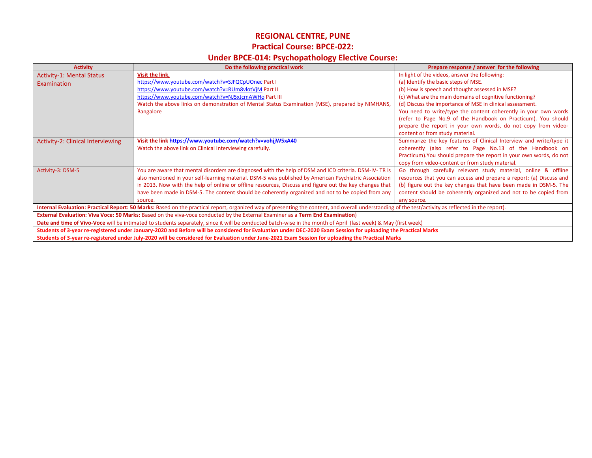### **REGIONAL CENTRE, PUNE**

### **Practical Course: BPCE-022:**

# **Under BPCE-014: Psychopathology Elective Course:**

| <b>Activity</b>                                                                                                                                                                                      | Do the following practical work                                                                        | Prepare response / answer for the following                         |  |  |
|------------------------------------------------------------------------------------------------------------------------------------------------------------------------------------------------------|--------------------------------------------------------------------------------------------------------|---------------------------------------------------------------------|--|--|
| <b>Activity-1: Mental Status</b>                                                                                                                                                                     | Visit the link,                                                                                        | In light of the videos, answer the following:                       |  |  |
| Examination                                                                                                                                                                                          | https://www.youtube.com/watch?v=SJFQCpUOnec Part I                                                     | (a) Identify the basic steps of MSE.                                |  |  |
|                                                                                                                                                                                                      | https://www.youtube.com/watch?v=RUm8vlotVjM Part II                                                    | (b) How is speech and thought assessed in MSE?                      |  |  |
|                                                                                                                                                                                                      | https://www.youtube.com/watch?v=NJ5xJcmAWHo Part III                                                   | (c) What are the main domains of cognitive functioning?             |  |  |
|                                                                                                                                                                                                      | Watch the above links on demonstration of Mental Status Examination (MSE), prepared by NIMHANS,        | (d) Discuss the importance of MSE in clinical assessment.           |  |  |
|                                                                                                                                                                                                      | <b>Bangalore</b>                                                                                       | You need to write/type the content coherently in your own words     |  |  |
|                                                                                                                                                                                                      |                                                                                                        | (refer to Page No.9 of the Handbook on Practicum). You should       |  |  |
|                                                                                                                                                                                                      |                                                                                                        | prepare the report in your own words, do not copy from video-       |  |  |
|                                                                                                                                                                                                      |                                                                                                        | content or from study material.                                     |  |  |
| Activity-2: Clinical Interviewing                                                                                                                                                                    | Visit the link https://www.youtube.com/watch?v=vohjjW5xA40                                             | Summarize the key features of Clinical Interview and write/type it  |  |  |
|                                                                                                                                                                                                      | Watch the above link on Clinical Interviewing carefully.                                               | coherently (also refer to Page No.13 of the Handbook on             |  |  |
|                                                                                                                                                                                                      |                                                                                                        | Practicum). You should prepare the report in your own words, do not |  |  |
|                                                                                                                                                                                                      |                                                                                                        | copy from video-content or from study material.                     |  |  |
| Activity-3: DSM-5                                                                                                                                                                                    | You are aware that mental disorders are diagnosed with the help of DSM and ICD criteria. DSM-IV-TR is  | Go through carefully relevant study material, online & offline      |  |  |
|                                                                                                                                                                                                      | also mentioned in your self-learning material. DSM-5 was published by American Psychiatric Association | resources that you can access and prepare a report: (a) Discuss and |  |  |
|                                                                                                                                                                                                      | in 2013. Now with the help of online or offline resources, Discuss and figure out the key changes that | (b) figure out the key changes that have been made in DSM-5. The    |  |  |
|                                                                                                                                                                                                      | have been made in DSM-5. The content should be coherently organized and not to be copied from any      | content should be coherently organized and not to be copied from    |  |  |
|                                                                                                                                                                                                      | source.                                                                                                | any source.                                                         |  |  |
| Internal Evaluation: Practical Report: 50 Marks: Based on the practical report, organized way of presenting the content, and overall understanding of the test/activity as reflected in the report). |                                                                                                        |                                                                     |  |  |
| External Evaluation: Viva Voce: 50 Marks: Based on the viva-voce conducted by the External Examiner as a Term End Examination)                                                                       |                                                                                                        |                                                                     |  |  |
| Date and time of Vivo-Voce will be intimated to students separately, since it will be conducted batch-wise in the month of April (last week) & May (first week)                                      |                                                                                                        |                                                                     |  |  |
| Students of 3-year re-registered under January-2020 and Before will be considered for Evaluation under DEC-2020 Exam Session for uploading the Practical Marks                                       |                                                                                                        |                                                                     |  |  |
| Students of 3-year re-registered under July-2020 will be considered for Evaluation under June-2021 Exam Session for uploading the Practical Marks                                                    |                                                                                                        |                                                                     |  |  |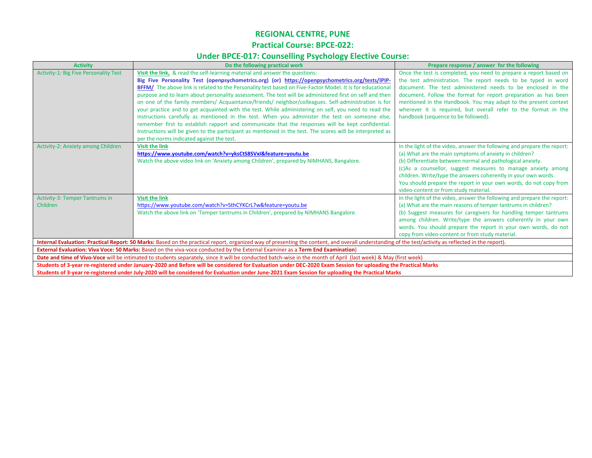# **REGIONAL CENTRE, PUNE Practical Course: BPCE-022:**

## **Under BPCE-017: Counselling Psychology Elective Course:**

| <b>Activity</b>                                                                                                                                                                                      | Do the following practical work                                                                           | Prepare response / answer for the following                             |  |  |
|------------------------------------------------------------------------------------------------------------------------------------------------------------------------------------------------------|-----------------------------------------------------------------------------------------------------------|-------------------------------------------------------------------------|--|--|
| <b>Activity-1: Big Five Personality Test</b>                                                                                                                                                         | Visit the link, & read the self-learning material and answer the questions:                               | Once the test is completed, you need to prepare a report based on       |  |  |
|                                                                                                                                                                                                      | Big Five Personality Test (openpsychometrics.org) (or) https://openpsychometrics.org/tests/IPIP-          | the test administration. The report needs to be typed in word           |  |  |
|                                                                                                                                                                                                      | BFFM/ The above link is related to the Personality test based on Five-Factor Model. It is for educational | document. The test administered needs to be enclosed in the             |  |  |
|                                                                                                                                                                                                      | purpose and to learn about personality assessment. The test will be administered first on self and then   | document. Follow the format for report preparation as has been          |  |  |
|                                                                                                                                                                                                      | on one of the family members/ Acquaintance/friends/ neighbor/colleagues. Self-administration is for       | mentioned in the Handbook. You may adapt to the present context         |  |  |
|                                                                                                                                                                                                      | your practice and to get acquainted with the test. While administering on self, you need to read the      | wherever it is required, but overall refer to the format in the         |  |  |
|                                                                                                                                                                                                      | instructions carefully as mentioned in the test. When you administer the test on someone else,            | handbook (sequence to be followed).                                     |  |  |
|                                                                                                                                                                                                      | remember first to establish rapport and communicate that the responses will be kept confidential.         |                                                                         |  |  |
|                                                                                                                                                                                                      | Instructions will be given to the participant as mentioned in the test. The scores will be interpreted as |                                                                         |  |  |
|                                                                                                                                                                                                      | per the norms indicated against the test.                                                                 |                                                                         |  |  |
| Activity-2: Anxiety among Children                                                                                                                                                                   | <b>Visit the link</b>                                                                                     | In the light of the video, answer the following and prepare the report: |  |  |
|                                                                                                                                                                                                      | https://www.youtube.com/watch?v=yksCtS8SVxI&feature=youtu.be                                              | (a) What are the main symptoms of anxiety in children?                  |  |  |
|                                                                                                                                                                                                      | Watch the above video link on 'Anxiety among Children', prepared by NIMHANS, Bangalore.                   | (b) Differentiate between normal and pathological anxiety.              |  |  |
|                                                                                                                                                                                                      |                                                                                                           | (c)As a counsellor, suggest measures to manage anxiety among            |  |  |
|                                                                                                                                                                                                      |                                                                                                           | children. Write/type the answers coherently in your own words.          |  |  |
|                                                                                                                                                                                                      |                                                                                                           | You should prepare the report in your own words, do not copy from       |  |  |
|                                                                                                                                                                                                      |                                                                                                           | video-content or from study material.                                   |  |  |
| <b>Activity-3: Temper Tantrums in</b>                                                                                                                                                                | <b>Visit the link</b>                                                                                     | In the light of the video, answer the following and prepare the report: |  |  |
| Children                                                                                                                                                                                             | https://www.youtube.com/watch?v=SthCYKCrL7w&feature=youtu.be                                              | (a) What are the main reasons of temper tantrums in children?           |  |  |
|                                                                                                                                                                                                      | Watch the above link on 'Temper tantrums in Children', prepared by NIMHANS Bangalore.                     | (b) Suggest measures for caregivers for handling temper tantrums        |  |  |
|                                                                                                                                                                                                      |                                                                                                           | among children. Write/type the answers coherently in your own           |  |  |
|                                                                                                                                                                                                      |                                                                                                           | words. You should prepare the report in your own words, do not          |  |  |
|                                                                                                                                                                                                      |                                                                                                           | copy from video-content or from study material.                         |  |  |
| Internal Evaluation: Practical Report: 50 Marks: Based on the practical report, organized way of presenting the content, and overall understanding of the test/activity as reflected in the report). |                                                                                                           |                                                                         |  |  |
| External Evaluation: Viva Voce: 50 Marks: Based on the viva-voce conducted by the External Examiner as a Term End Examination)                                                                       |                                                                                                           |                                                                         |  |  |
| Date and time of Vivo-Voce will be intimated to students separately, since it will be conducted batch-wise in the month of April (last week) & May (first week)                                      |                                                                                                           |                                                                         |  |  |
| Students of 3-year re-registered under January-2020 and Before will be considered for Evaluation under DEC-2020 Exam Session for uploading the Practical Marks                                       |                                                                                                           |                                                                         |  |  |
| Students of 3-year re-registered under July-2020 will be considered for Evaluation under June-2021 Exam Session for uploading the Practical Marks                                                    |                                                                                                           |                                                                         |  |  |